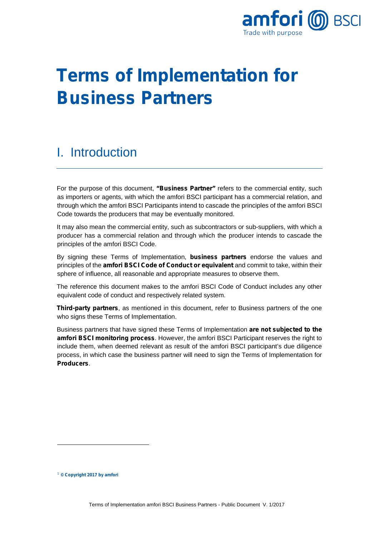

# **Terms of Implementation for Business Partners**

#### I. Introduction

For the purpose of this document, **"Business Partner"** refers to the commercial entity, such as importers or agents, with which the amfori BSCI participant has a commercial relation, and through which the amfori BSCI Participants intend to cascade the principles of the amfori BSCI Code towards the producers that may be eventually monitored.

It may also mean the commercial entity, such as subcontractors or sub-suppliers, with which a producer has a commercial relation and through which the producer intends to cascade the principles of the amfori BSCI Code.

By signing these Terms of Implementation, **business partners** endorse the values and principles of the **amfori BSCI Code of Conduct or equivalent** and commit to take, within their sphere of influence, all reasonable and appropriate measures to observe them.

The reference this document makes to the amfori BSCI Code of Conduct includes any other equivalent code of conduct and respectively related system.

**Third-party partners**, as mentioned in this document, refer to Business partners of the one who signs these Terms of Implementation.

Business partners that have signed these Terms of Implementation **are not subjected to the amfori BSCI monitoring process**. However, the amfori BSCI Participant reserves the right to include them, when deemed relevant as result of the amfori BSCI participant's due diligence process, in which case the business partner will need to sign the Terms of Implementation for **Producers**.

-

<span id="page-0-0"></span><sup>1</sup> **© Copyright 2017 by amfori**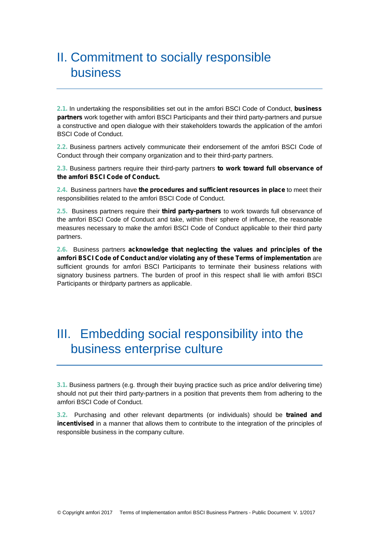### II. Commitment to socially responsible business

**2.1.** In undertaking the responsibilities set out in the amfori BSCI Code of Conduct, **business partners** work together with amfori BSCI Participants and their third party-partners and pursue a constructive and open dialogue with their stakeholders towards the application of the amfori BSCI Code of Conduct.

**2.2.** Business partners actively communicate their endorsement of the amfori BSCI Code of Conduct through their company organization and to their third-party partners.

**2.3.** Business partners require their third-party partners **to work toward full observance of the amfori BSCI Code of Conduct.** 

**2.4.** Business partners have **the procedures and sufficient resources in place** to meet their responsibilities related to the amfori BSCI Code of Conduct.

**2.5.** Business partners require their **third party-partners** to work towards full observance of the amfori BSCI Code of Conduct and take, within their sphere of influence, the reasonable measures necessary to make the amfori BSCI Code of Conduct applicable to their third party partners.

**2.6.** Business partners **acknowledge that neglecting the values and principles of the amfori BSCI Code of Conduct and/or violating any of these Terms of implementation** are sufficient grounds for amfori BSCI Participants to terminate their business relations with signatory business partners. The burden of proof in this respect shall lie with amfori BSCI Participants or thirdparty partners as applicable.

#### III. Embedding social responsibility into the business enterprise culture

**3.1.** Business partners (e.g. through their buying practice such as price and/or delivering time) should not put their third party-partners in a position that prevents them from adhering to the amfori BSCI Code of Conduct.

**3.2.** Purchasing and other relevant departments (or individuals) should be **trained and incentivised** in a manner that allows them to contribute to the integration of the principles of responsible business in the company culture.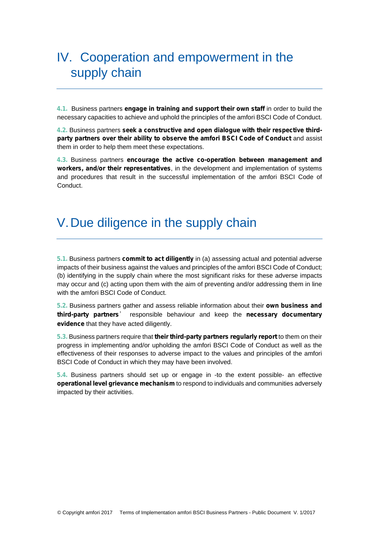## IV. Cooperation and empowerment in the supply chain

**4.1.** Business partners **engage in training and support their own staff** in order to build the necessary capacities to achieve and uphold the principles of the amfori BSCI Code of Conduct.

**4.2.** Business partners **seek a constructive and open dialogue with their respective thirdparty partners over their ability to observe the amfori BSCI Code of Conduct** and assist them in order to help them meet these expectations.

**4.3.** Business partners **encourage the active co-operation between management and workers, and/or their representatives**, in the development and implementation of systems and procedures that result in the successful implementation of the amfori BSCI Code of Conduct.

#### V.Due diligence in the supply chain

**5.1.** Business partners **commit to act diligently** in (a) assessing actual and potential adverse impacts of their business against the values and principles of the amfori BSCI Code of Conduct; (b) identifying in the supply chain where the most significant risks for these adverse impacts may occur and (c) acting upon them with the aim of preventing and/or addressing them in line with the amfori BSCI Code of Conduct.

**5.2.** Business partners gather and assess reliable information about their **own business and third-party partners**' responsible behaviour and keep the **necessary documentary evidence** that they have acted diligently.

**5.3.** Business partners require that **their third-party partners regularly report** to them on their progress in implementing and/or upholding the amfori BSCI Code of Conduct as well as the effectiveness of their responses to adverse impact to the values and principles of the amfori BSCI Code of Conduct in which they may have been involved.

**5.4.** Business partners should set up or engage in -to the extent possible- an effective **operational level grievance mechanism** to respond to individuals and communities adversely impacted by their activities.